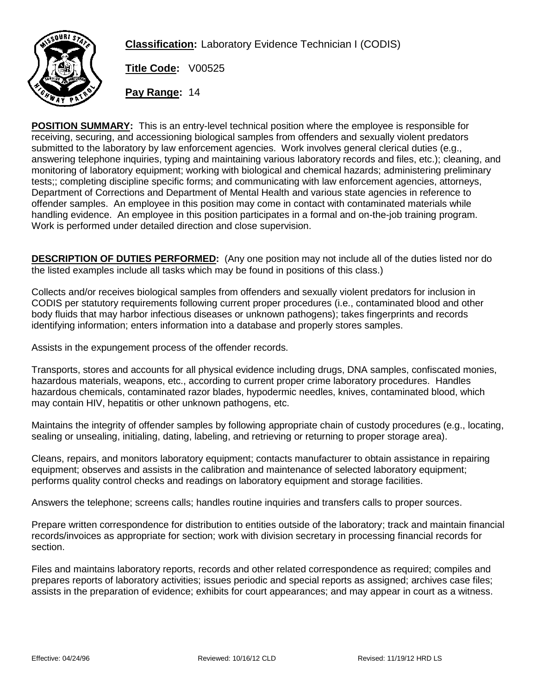

**Classification:** Laboratory Evidence Technician I (CODIS)

**Title Code:** V00525

**Pay Range:** 14

**POSITION SUMMARY:** This is an entry-level technical position where the employee is responsible for receiving, securing, and accessioning biological samples from offenders and sexually violent predators submitted to the laboratory by law enforcement agencies. Work involves general clerical duties (e.g., answering telephone inquiries, typing and maintaining various laboratory records and files, etc.); cleaning, and monitoring of laboratory equipment; working with biological and chemical hazards; administering preliminary tests;; completing discipline specific forms; and communicating with law enforcement agencies, attorneys, Department of Corrections and Department of Mental Health and various state agencies in reference to offender samples. An employee in this position may come in contact with contaminated materials while handling evidence. An employee in this position participates in a formal and on-the-job training program. Work is performed under detailed direction and close supervision.

**DESCRIPTION OF DUTIES PERFORMED:** (Any one position may not include all of the duties listed nor do the listed examples include all tasks which may be found in positions of this class.)

Collects and/or receives biological samples from offenders and sexually violent predators for inclusion in CODIS per statutory requirements following current proper procedures (i.e., contaminated blood and other body fluids that may harbor infectious diseases or unknown pathogens); takes fingerprints and records identifying information; enters information into a database and properly stores samples.

Assists in the expungement process of the offender records.

Transports, stores and accounts for all physical evidence including drugs, DNA samples, confiscated monies, hazardous materials, weapons, etc., according to current proper crime laboratory procedures. Handles hazardous chemicals, contaminated razor blades, hypodermic needles, knives, contaminated blood, which may contain HIV, hepatitis or other unknown pathogens, etc.

Maintains the integrity of offender samples by following appropriate chain of custody procedures (e.g., locating, sealing or unsealing, initialing, dating, labeling, and retrieving or returning to proper storage area).

Cleans, repairs, and monitors laboratory equipment; contacts manufacturer to obtain assistance in repairing equipment; observes and assists in the calibration and maintenance of selected laboratory equipment; performs quality control checks and readings on laboratory equipment and storage facilities.

Answers the telephone; screens calls; handles routine inquiries and transfers calls to proper sources.

Prepare written correspondence for distribution to entities outside of the laboratory; track and maintain financial records/invoices as appropriate for section; work with division secretary in processing financial records for section.

Files and maintains laboratory reports, records and other related correspondence as required; compiles and prepares reports of laboratory activities; issues periodic and special reports as assigned; archives case files; assists in the preparation of evidence; exhibits for court appearances; and may appear in court as a witness.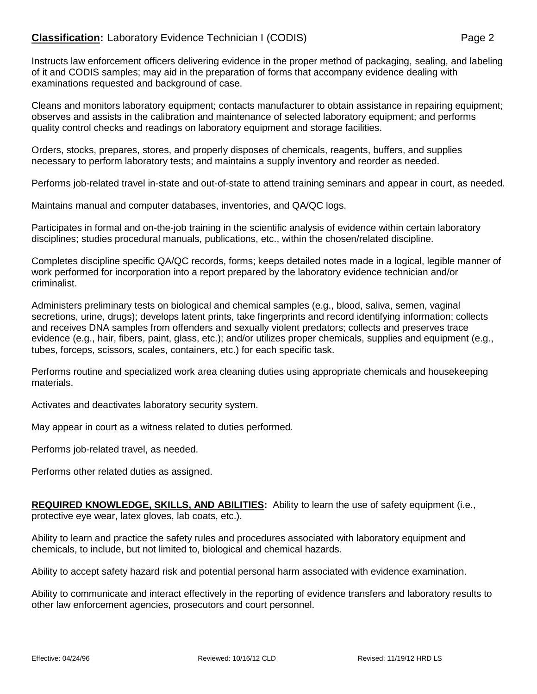Instructs law enforcement officers delivering evidence in the proper method of packaging, sealing, and labeling of it and CODIS samples; may aid in the preparation of forms that accompany evidence dealing with examinations requested and background of case.

Cleans and monitors laboratory equipment; contacts manufacturer to obtain assistance in repairing equipment; observes and assists in the calibration and maintenance of selected laboratory equipment; and performs quality control checks and readings on laboratory equipment and storage facilities.

Orders, stocks, prepares, stores, and properly disposes of chemicals, reagents, buffers, and supplies necessary to perform laboratory tests; and maintains a supply inventory and reorder as needed.

Performs job-related travel in-state and out-of-state to attend training seminars and appear in court, as needed.

Maintains manual and computer databases, inventories, and QA/QC logs.

Participates in formal and on-the-job training in the scientific analysis of evidence within certain laboratory disciplines; studies procedural manuals, publications, etc., within the chosen/related discipline.

Completes discipline specific QA/QC records, forms; keeps detailed notes made in a logical, legible manner of work performed for incorporation into a report prepared by the laboratory evidence technician and/or criminalist.

Administers preliminary tests on biological and chemical samples (e.g., blood, saliva, semen, vaginal secretions, urine, drugs); develops latent prints, take fingerprints and record identifying information; collects and receives DNA samples from offenders and sexually violent predators; collects and preserves trace evidence (e.g., hair, fibers, paint, glass, etc.); and/or utilizes proper chemicals, supplies and equipment (e.g., tubes, forceps, scissors, scales, containers, etc.) for each specific task.

Performs routine and specialized work area cleaning duties using appropriate chemicals and housekeeping materials.

Activates and deactivates laboratory security system.

May appear in court as a witness related to duties performed.

Performs job-related travel, as needed.

Performs other related duties as assigned.

**REQUIRED KNOWLEDGE, SKILLS, AND ABILITIES:** Ability to learn the use of safety equipment (i.e., protective eye wear, latex gloves, lab coats, etc.).

Ability to learn and practice the safety rules and procedures associated with laboratory equipment and chemicals, to include, but not limited to, biological and chemical hazards.

Ability to accept safety hazard risk and potential personal harm associated with evidence examination.

Ability to communicate and interact effectively in the reporting of evidence transfers and laboratory results to other law enforcement agencies, prosecutors and court personnel.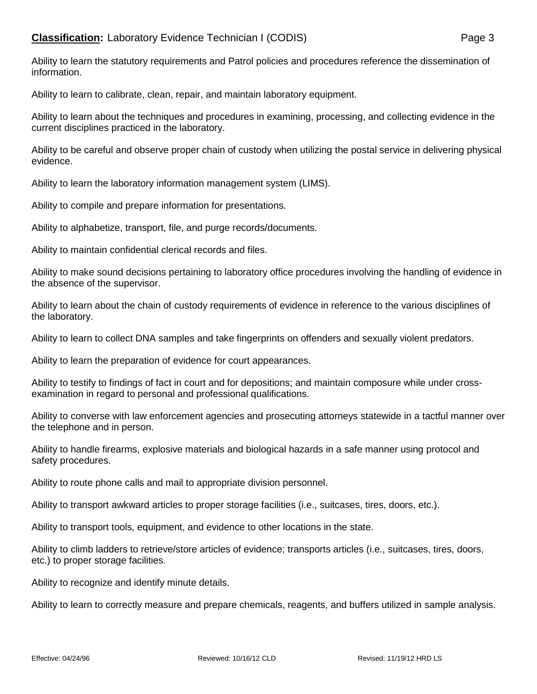## **Classification:** Laboratory Evidence Technician I (CODIS) Page 3

Ability to learn the statutory requirements and Patrol policies and procedures reference the dissemination of information.

Ability to learn to calibrate, clean, repair, and maintain laboratory equipment.

Ability to learn about the techniques and procedures in examining, processing, and collecting evidence in the current disciplines practiced in the laboratory.

Ability to be careful and observe proper chain of custody when utilizing the postal service in delivering physical evidence.

Ability to learn the laboratory information management system (LIMS).

Ability to compile and prepare information for presentations.

Ability to alphabetize, transport, file, and purge records/documents.

Ability to maintain confidential clerical records and files.

Ability to make sound decisions pertaining to laboratory office procedures involving the handling of evidence in the absence of the supervisor.

Ability to learn about the chain of custody requirements of evidence in reference to the various disciplines of the laboratory.

Ability to learn to collect DNA samples and take fingerprints on offenders and sexually violent predators.

Ability to learn the preparation of evidence for court appearances.

Ability to testify to findings of fact in court and for depositions; and maintain composure while under crossexamination in regard to personal and professional qualifications.

Ability to converse with law enforcement agencies and prosecuting attorneys statewide in a tactful manner over the telephone and in person.

Ability to handle firearms, explosive materials and biological hazards in a safe manner using protocol and safety procedures.

Ability to route phone calls and mail to appropriate division personnel.

Ability to transport awkward articles to proper storage facilities (i.e., suitcases, tires, doors, etc.).

Ability to transport tools, equipment, and evidence to other locations in the state.

Ability to climb ladders to retrieve/store articles of evidence; transports articles (i.e., suitcases, tires, doors, etc.) to proper storage facilities.

Ability to recognize and identify minute details.

Ability to learn to correctly measure and prepare chemicals, reagents, and buffers utilized in sample analysis.